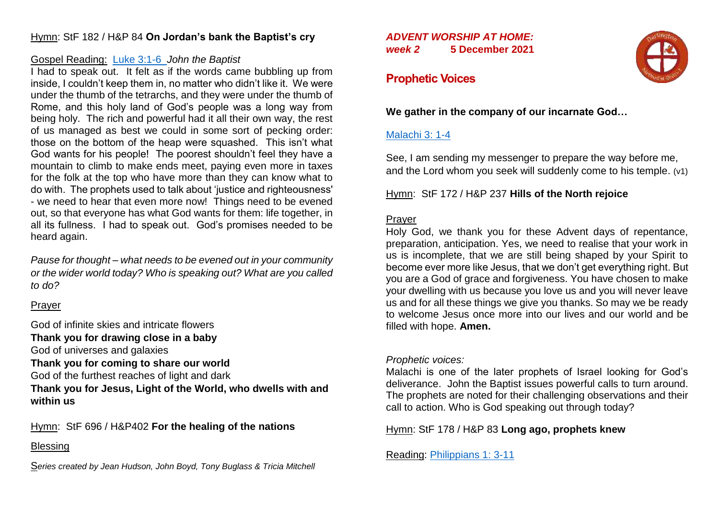## Hymn: StF 182 / H&P 84 **On Jordan's bank the Baptist's cry**

### Gospel Reading: [Luke 3:1-6](https://bible.oremus.org/?ql=502709077) *John the Baptist*

I had to speak out. It felt as if the words came bubbling up from inside, I couldn't keep them in, no matter who didn't like it. We were under the thumb of the tetrarchs, and they were under the thumb of Rome, and this holy land of God's people was a long way from being holy. The rich and powerful had it all their own way, the rest of us managed as best we could in some sort of pecking order: those on the bottom of the heap were squashed. This isn't what God wants for his people! The poorest shouldn't feel they have a mountain to climb to make ends meet, paying even more in taxes for the folk at the top who have more than they can know what to do with. The prophets used to talk about 'justice and righteousness' - we need to hear that even more now! Things need to be evened out, so that everyone has what God wants for them: life together, in all its fullness. I had to speak out. God's promises needed to be heard again.

*Pause for thought – what needs to be evened out in your community or the wider world today? Who is speaking out? What are you called to do?*

### Prayer

God of infinite skies and intricate flowers **Thank you for drawing close in a baby** God of universes and galaxies **Thank you for coming to share our world** God of the furthest reaches of light and dark **Thank you for Jesus, Light of the World, who dwells with and within us**

Hymn: StF 696 / H&P402 **For the healing of the nations**

### Blessing

S*eries created by Jean Hudson, John Boyd, Tony Buglass & Tricia Mitchell*

### *ADVENT WORSHIP AT HOME: week 2* **5 December 2021**



# **Prophetic Voices**

### **We gather in the company of our incarnate God…**

## [Malachi 3: 1-4](https://bible.oremus.org/?ql=502708549)

See, I am sending my messenger to prepare the way before me, and the Lord whom you seek will suddenly come to his temple. (v1)

Hymn: StF 172 / H&P 237 **Hills of the North rejoice**

# Prayer

Holy God, we thank you for these Advent days of repentance, preparation, anticipation. Yes, we need to realise that your work in us is incomplete, that we are still being shaped by your Spirit to become ever more like Jesus, that we don't get everything right. But you are a God of grace and forgiveness. You have chosen to make your dwelling with us because you love us and you will never leave us and for all these things we give you thanks. So may we be ready to welcome Jesus once more into our lives and our world and be filled with hope. **Amen.**

#### *Prophetic voices:*

Malachi is one of the later prophets of Israel looking for God's deliverance. John the Baptist issues powerful calls to turn around. The prophets are noted for their challenging observations and their call to action. Who is God speaking out through today?

Hymn: StF 178 / H&P 83 **Long ago, prophets knew**

Reading: [Philippians 1: 3-11](https://bible.oremus.org/?ql=504163705)